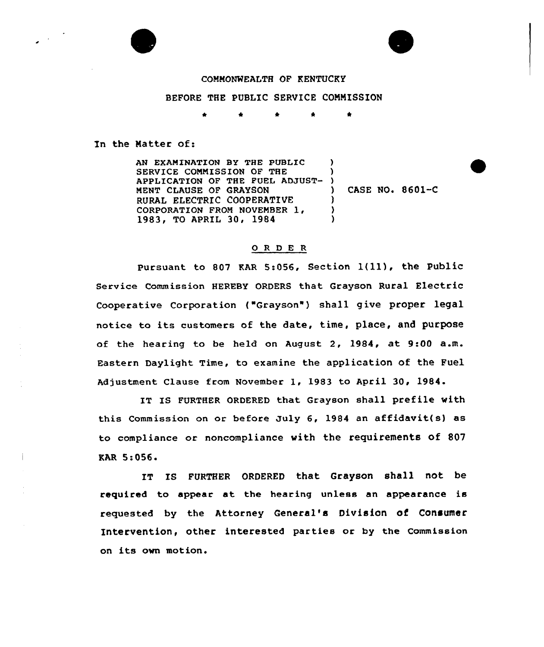

## COMMONWEALTH OF KENTUCKY

## BEFORE THE PUBLIC SERVICE COMMISSION

## In the Matter of:

Ť

AN EXAMINATION BY THE PUBLIC SERVICE COMMISSION OF THE APPLICATION OF THE FUEL ADJUST-MENT CLAUSE OF GRAYSON RURAL ELECTRIC COOPERATIVE CORPORATION FROM NOVEMBER 1 1983, TO APRIL 30, 1984  $\lambda$ ) )<br>) ) CASE NO. 8601-C ) )  $\lambda$ 

## 0 <sup>R</sup> <sup>D</sup> E <sup>R</sup>

Pursuant to <sup>807</sup> KAR 5:056, Section l(ll), the Public Service Commission HEREBY ORDERS that Grayson Rural Electric Cooperative Corporation { Grayson" ) shall give proper legal notice to its customers of the date, time, place, and purpose of the hearing to be held on August 2, 1984, at 9:00 a.m. Eastern Daylight Time, to examine the application of the Fuel Adjustment Clause from November 1, 1983 to April 30, 1984.

IT IS FURTHER ORDERED that Grayson shall prefile with this Commission on or before July 6, 1984 an affidavit(s) as to compliance or noncompliance with the requirements of 807 EAR 5:056.

IT IS FURTHER ORDERED that Grayson shall not be required to appear at the hearing unless an appearance is requested by the Attorney General's Division of Consumer Intervention, other interested parties or by the Commission on its own motion.